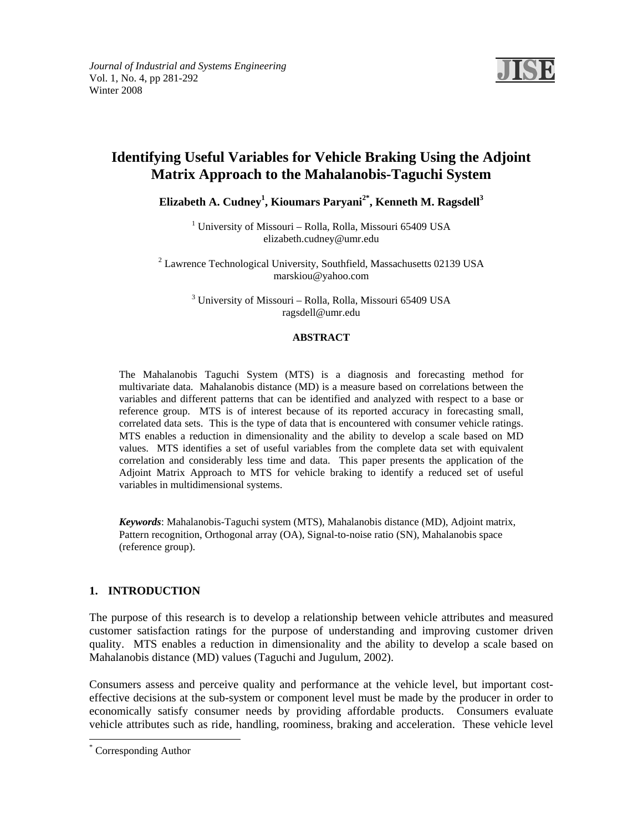

# **Identifying Useful Variables for Vehicle Braking Using the Adjoint Matrix Approach to the Mahalanobis-Taguchi System**

**Elizabeth A. Cudney<sup>1</sup> , Kioumars Paryani2\*, Kenneth M. Ragsdell3**

<sup>1</sup> University of Missouri - Rolla, Rolla, Missouri 65409 USA elizabeth.cudney@umr.edu

<sup>2</sup> Lawrence Technological University, Southfield, Massachusetts 02139 USA marskiou@yahoo.com

> <sup>3</sup> University of Missouri – Rolla, Rolla, Missouri 65409 USA ragsdell@umr.edu

#### **ABSTRACT**

The Mahalanobis Taguchi System (MTS) is a diagnosis and forecasting method for multivariate data. Mahalanobis distance (MD) is a measure based on correlations between the variables and different patterns that can be identified and analyzed with respect to a base or reference group. MTS is of interest because of its reported accuracy in forecasting small, correlated data sets. This is the type of data that is encountered with consumer vehicle ratings. MTS enables a reduction in dimensionality and the ability to develop a scale based on MD values. MTS identifies a set of useful variables from the complete data set with equivalent correlation and considerably less time and data. This paper presents the application of the Adjoint Matrix Approach to MTS for vehicle braking to identify a reduced set of useful variables in multidimensional systems.

*Keywords*: Mahalanobis-Taguchi system (MTS), Mahalanobis distance (MD), Adjoint matrix, Pattern recognition, Orthogonal array (OA), Signal-to-noise ratio (SN), Mahalanobis space (reference group).

# **1. INTRODUCTION**

The purpose of this research is to develop a relationship between vehicle attributes and measured customer satisfaction ratings for the purpose of understanding and improving customer driven quality. MTS enables a reduction in dimensionality and the ability to develop a scale based on Mahalanobis distance (MD) values (Taguchi and Jugulum, 2002).

Consumers assess and perceive quality and performance at the vehicle level, but important costeffective decisions at the sub-system or component level must be made by the producer in order to economically satisfy consumer needs by providing affordable products. Consumers evaluate vehicle attributes such as ride, handling, roominess, braking and acceleration. These vehicle level

-

<sup>\*</sup> Corresponding Author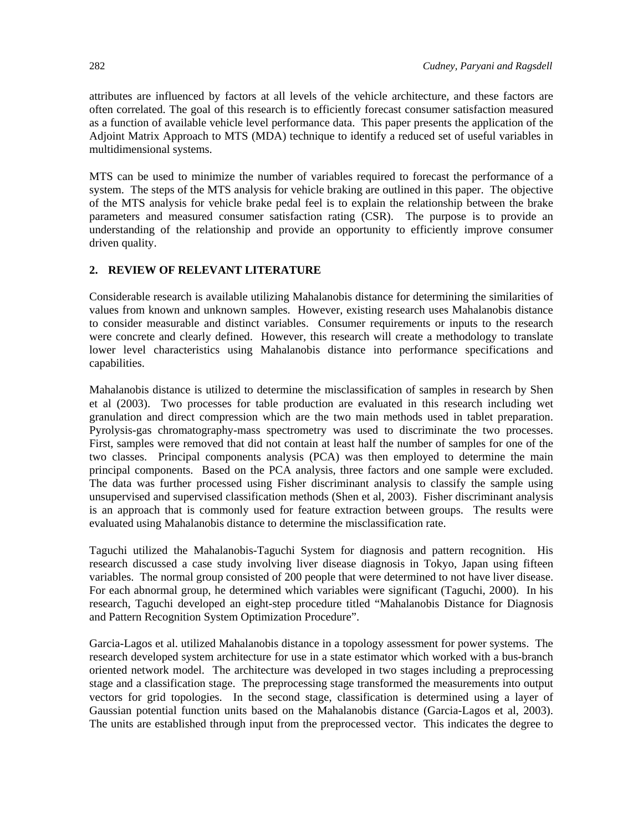attributes are influenced by factors at all levels of the vehicle architecture, and these factors are often correlated. The goal of this research is to efficiently forecast consumer satisfaction measured as a function of available vehicle level performance data. This paper presents the application of the Adjoint Matrix Approach to MTS (MDA) technique to identify a reduced set of useful variables in multidimensional systems.

MTS can be used to minimize the number of variables required to forecast the performance of a system. The steps of the MTS analysis for vehicle braking are outlined in this paper. The objective of the MTS analysis for vehicle brake pedal feel is to explain the relationship between the brake parameters and measured consumer satisfaction rating (CSR). The purpose is to provide an understanding of the relationship and provide an opportunity to efficiently improve consumer driven quality.

# **2. REVIEW OF RELEVANT LITERATURE**

Considerable research is available utilizing Mahalanobis distance for determining the similarities of values from known and unknown samples. However, existing research uses Mahalanobis distance to consider measurable and distinct variables. Consumer requirements or inputs to the research were concrete and clearly defined. However, this research will create a methodology to translate lower level characteristics using Mahalanobis distance into performance specifications and capabilities.

Mahalanobis distance is utilized to determine the misclassification of samples in research by Shen et al (2003). Two processes for table production are evaluated in this research including wet granulation and direct compression which are the two main methods used in tablet preparation. Pyrolysis-gas chromatography-mass spectrometry was used to discriminate the two processes. First, samples were removed that did not contain at least half the number of samples for one of the two classes. Principal components analysis (PCA) was then employed to determine the main principal components. Based on the PCA analysis, three factors and one sample were excluded. The data was further processed using Fisher discriminant analysis to classify the sample using unsupervised and supervised classification methods (Shen et al, 2003). Fisher discriminant analysis is an approach that is commonly used for feature extraction between groups. The results were evaluated using Mahalanobis distance to determine the misclassification rate.

Taguchi utilized the Mahalanobis-Taguchi System for diagnosis and pattern recognition. His research discussed a case study involving liver disease diagnosis in Tokyo, Japan using fifteen variables. The normal group consisted of 200 people that were determined to not have liver disease. For each abnormal group, he determined which variables were significant (Taguchi, 2000). In his research, Taguchi developed an eight-step procedure titled "Mahalanobis Distance for Diagnosis and Pattern Recognition System Optimization Procedure".

Garcia-Lagos et al. utilized Mahalanobis distance in a topology assessment for power systems. The research developed system architecture for use in a state estimator which worked with a bus-branch oriented network model. The architecture was developed in two stages including a preprocessing stage and a classification stage. The preprocessing stage transformed the measurements into output vectors for grid topologies. In the second stage, classification is determined using a layer of Gaussian potential function units based on the Mahalanobis distance (Garcia-Lagos et al, 2003). The units are established through input from the preprocessed vector. This indicates the degree to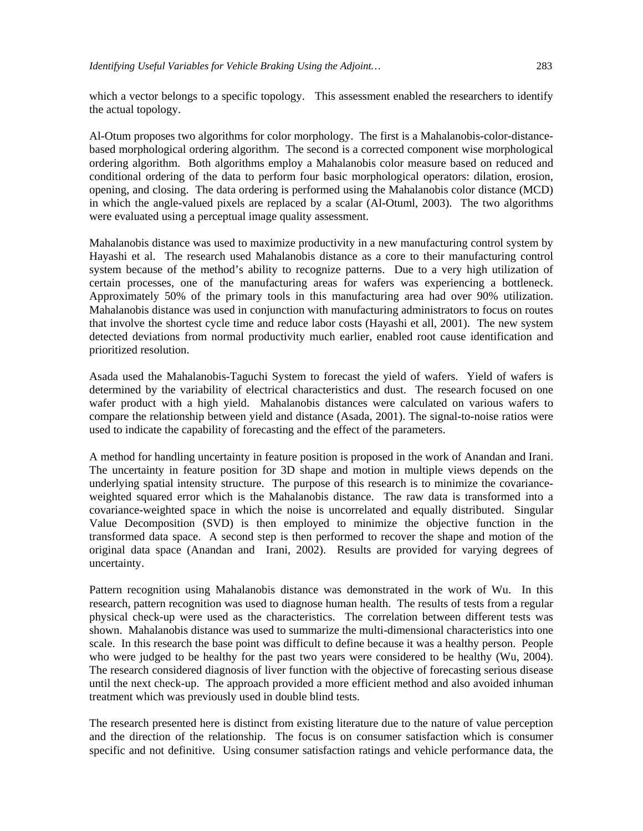which a vector belongs to a specific topology. This assessment enabled the researchers to identify the actual topology.

Al-Otum proposes two algorithms for color morphology. The first is a Mahalanobis-color-distancebased morphological ordering algorithm. The second is a corrected component wise morphological ordering algorithm. Both algorithms employ a Mahalanobis color measure based on reduced and conditional ordering of the data to perform four basic morphological operators: dilation, erosion, opening, and closing. The data ordering is performed using the Mahalanobis color distance (MCD) in which the angle-valued pixels are replaced by a scalar (Al-Otuml, 2003). The two algorithms were evaluated using a perceptual image quality assessment.

Mahalanobis distance was used to maximize productivity in a new manufacturing control system by Hayashi et al. The research used Mahalanobis distance as a core to their manufacturing control system because of the method's ability to recognize patterns. Due to a very high utilization of certain processes, one of the manufacturing areas for wafers was experiencing a bottleneck. Approximately 50% of the primary tools in this manufacturing area had over 90% utilization. Mahalanobis distance was used in conjunction with manufacturing administrators to focus on routes that involve the shortest cycle time and reduce labor costs (Hayashi et all, 2001). The new system detected deviations from normal productivity much earlier, enabled root cause identification and prioritized resolution.

Asada used the Mahalanobis-Taguchi System to forecast the yield of wafers. Yield of wafers is determined by the variability of electrical characteristics and dust. The research focused on one wafer product with a high yield. Mahalanobis distances were calculated on various wafers to compare the relationship between yield and distance (Asada, 2001). The signal-to-noise ratios were used to indicate the capability of forecasting and the effect of the parameters.

A method for handling uncertainty in feature position is proposed in the work of Anandan and Irani. The uncertainty in feature position for 3D shape and motion in multiple views depends on the underlying spatial intensity structure. The purpose of this research is to minimize the covarianceweighted squared error which is the Mahalanobis distance. The raw data is transformed into a covariance-weighted space in which the noise is uncorrelated and equally distributed. Singular Value Decomposition (SVD) is then employed to minimize the objective function in the transformed data space. A second step is then performed to recover the shape and motion of the original data space (Anandan and Irani, 2002). Results are provided for varying degrees of uncertainty.

Pattern recognition using Mahalanobis distance was demonstrated in the work of Wu. In this research, pattern recognition was used to diagnose human health. The results of tests from a regular physical check-up were used as the characteristics. The correlation between different tests was shown. Mahalanobis distance was used to summarize the multi-dimensional characteristics into one scale. In this research the base point was difficult to define because it was a healthy person. People who were judged to be healthy for the past two years were considered to be healthy (Wu, 2004). The research considered diagnosis of liver function with the objective of forecasting serious disease until the next check-up. The approach provided a more efficient method and also avoided inhuman treatment which was previously used in double blind tests.

The research presented here is distinct from existing literature due to the nature of value perception and the direction of the relationship. The focus is on consumer satisfaction which is consumer specific and not definitive. Using consumer satisfaction ratings and vehicle performance data, the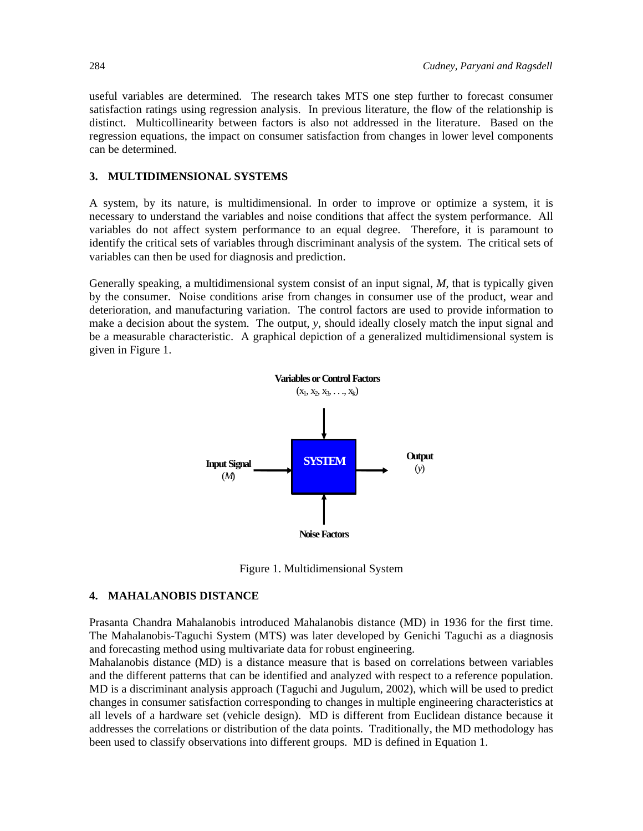useful variables are determined. The research takes MTS one step further to forecast consumer satisfaction ratings using regression analysis. In previous literature, the flow of the relationship is distinct. Multicollinearity between factors is also not addressed in the literature. Based on the regression equations, the impact on consumer satisfaction from changes in lower level components can be determined.

#### **3. MULTIDIMENSIONAL SYSTEMS**

A system, by its nature, is multidimensional. In order to improve or optimize a system, it is necessary to understand the variables and noise conditions that affect the system performance. All variables do not affect system performance to an equal degree. Therefore, it is paramount to identify the critical sets of variables through discriminant analysis of the system. The critical sets of variables can then be used for diagnosis and prediction.

Generally speaking, a multidimensional system consist of an input signal, *M*, that is typically given by the consumer. Noise conditions arise from changes in consumer use of the product, wear and deterioration, and manufacturing variation. The control factors are used to provide information to make a decision about the system. The output, *y*, should ideally closely match the input signal and be a measurable characteristic. A graphical depiction of a generalized multidimensional system is given in Figure 1.



Figure 1. Multidimensional System

#### **4. MAHALANOBIS DISTANCE**

Prasanta Chandra Mahalanobis introduced Mahalanobis distance (MD) in 1936 for the first time. The Mahalanobis-Taguchi System (MTS) was later developed by Genichi Taguchi as a diagnosis and forecasting method using multivariate data for robust engineering.

Mahalanobis distance (MD) is a distance measure that is based on correlations between variables and the different patterns that can be identified and analyzed with respect to a reference population. MD is a discriminant analysis approach (Taguchi and Jugulum, 2002), which will be used to predict changes in consumer satisfaction corresponding to changes in multiple engineering characteristics at all levels of a hardware set (vehicle design). MD is different from Euclidean distance because it addresses the correlations or distribution of the data points. Traditionally, the MD methodology has been used to classify observations into different groups. MD is defined in Equation 1.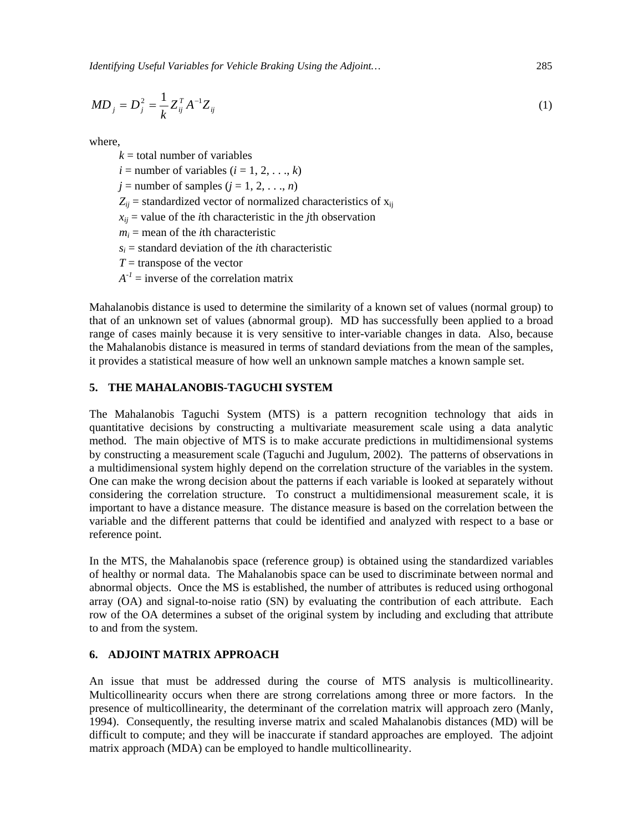*Identifying Useful Variables for Vehicle Braking Using the Adjoint…* 285

$$
MD_j = D_j^2 = \frac{1}{k} Z_{ij}^T A^{-1} Z_{ij}
$$
 (1)

where,

 $k =$  total number of variables  $i =$  number of variables  $(i = 1, 2, \ldots, k)$  $j =$  number of samples ( $j = 1, 2, \ldots, n$ )  $Z_{ij}$  = standardized vector of normalized characteristics of  $x_{ij}$  $x_{ii}$  = value of the *i*th characteristic in the *j*th observation  $m<sub>i</sub>$  = mean of the *i*th characteristic  $s_i$  = standard deviation of the *i*th characteristic  $T =$  transpose of the vector  $A^{-1}$  = inverse of the correlation matrix

Mahalanobis distance is used to determine the similarity of a known set of values (normal group) to that of an unknown set of values (abnormal group). MD has successfully been applied to a broad range of cases mainly because it is very sensitive to inter-variable changes in data. Also, because the Mahalanobis distance is measured in terms of standard deviations from the mean of the samples, it provides a statistical measure of how well an unknown sample matches a known sample set.

#### **5. THE MAHALANOBIS-TAGUCHI SYSTEM**

The Mahalanobis Taguchi System (MTS) is a pattern recognition technology that aids in quantitative decisions by constructing a multivariate measurement scale using a data analytic method. The main objective of MTS is to make accurate predictions in multidimensional systems by constructing a measurement scale (Taguchi and Jugulum, 2002). The patterns of observations in a multidimensional system highly depend on the correlation structure of the variables in the system. One can make the wrong decision about the patterns if each variable is looked at separately without considering the correlation structure. To construct a multidimensional measurement scale, it is important to have a distance measure. The distance measure is based on the correlation between the variable and the different patterns that could be identified and analyzed with respect to a base or reference point.

In the MTS, the Mahalanobis space (reference group) is obtained using the standardized variables of healthy or normal data. The Mahalanobis space can be used to discriminate between normal and abnormal objects. Once the MS is established, the number of attributes is reduced using orthogonal array (OA) and signal-to-noise ratio (SN) by evaluating the contribution of each attribute. Each row of the OA determines a subset of the original system by including and excluding that attribute to and from the system.

# **6. ADJOINT MATRIX APPROACH**

An issue that must be addressed during the course of MTS analysis is multicollinearity. Multicollinearity occurs when there are strong correlations among three or more factors. In the presence of multicollinearity, the determinant of the correlation matrix will approach zero (Manly, 1994). Consequently, the resulting inverse matrix and scaled Mahalanobis distances (MD) will be difficult to compute; and they will be inaccurate if standard approaches are employed. The adjoint matrix approach (MDA) can be employed to handle multicollinearity.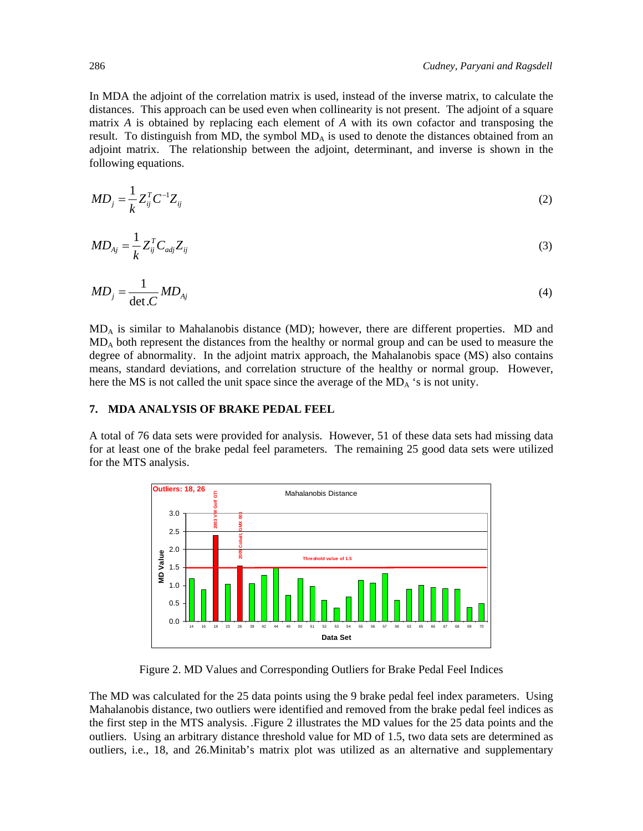In MDA the adjoint of the correlation matrix is used, instead of the inverse matrix, to calculate the distances. This approach can be used even when collinearity is not present. The adjoint of a square matrix *A* is obtained by replacing each element of *A* with its own cofactor and transposing the result. To distinguish from MD, the symbol  $MD<sub>A</sub>$  is used to denote the distances obtained from an adjoint matrix. The relationship between the adjoint, determinant, and inverse is shown in the following equations.

$$
MD_j = \frac{1}{k} Z_{ij}^T C^{-1} Z_{ij}
$$
\n
$$
(2)
$$

$$
MD_{Aj} = \frac{1}{k} Z_{ij}^T C_{adj} Z_{ij}
$$
\n
$$
(3)
$$

$$
MD_j = \frac{1}{\det C} MD_{Aj} \tag{4}
$$

MDA is similar to Mahalanobis distance (MD); however, there are different properties. MD and MDA both represent the distances from the healthy or normal group and can be used to measure the degree of abnormality. In the adjoint matrix approach, the Mahalanobis space (MS) also contains means, standard deviations, and correlation structure of the healthy or normal group. However, here the MS is not called the unit space since the average of the  $MD_A$  's is not unity.

#### **7. MDA ANALYSIS OF BRAKE PEDAL FEEL**

A total of 76 data sets were provided for analysis. However, 51 of these data sets had missing data for at least one of the brake pedal feel parameters. The remaining 25 good data sets were utilized for the MTS analysis.



Figure 2. MD Values and Corresponding Outliers for Brake Pedal Feel Indices

The MD was calculated for the 25 data points using the 9 brake pedal feel index parameters. Using Mahalanobis distance, two outliers were identified and removed from the brake pedal feel indices as the first step in the MTS analysis. .Figure 2 illustrates the MD values for the 25 data points and the outliers. Using an arbitrary distance threshold value for MD of 1.5, two data sets are determined as outliers, i.e., 18, and 26.Minitab's matrix plot was utilized as an alternative and supplementary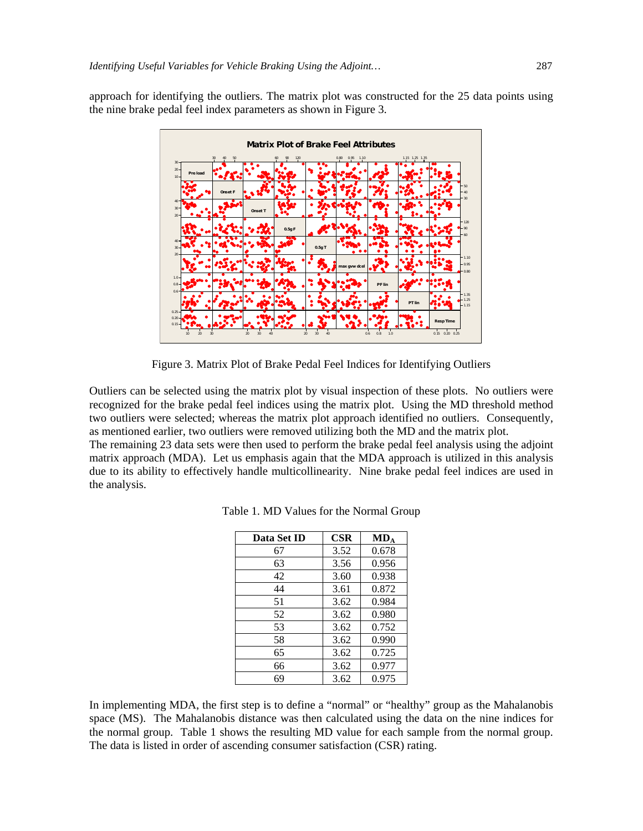approach for identifying the outliers. The matrix plot was constructed for the 25 data points using the nine brake pedal feel index parameters as shown in Figure 3.



Figure 3. Matrix Plot of Brake Pedal Feel Indices for Identifying Outliers

Outliers can be selected using the matrix plot by visual inspection of these plots. No outliers were recognized for the brake pedal feel indices using the matrix plot. Using the MD threshold method two outliers were selected; whereas the matrix plot approach identified no outliers. Consequently, as mentioned earlier, two outliers were removed utilizing both the MD and the matrix plot.

The remaining 23 data sets were then used to perform the brake pedal feel analysis using the adjoint matrix approach (MDA). Let us emphasis again that the MDA approach is utilized in this analysis due to its ability to effectively handle multicollinearity. Nine brake pedal feel indices are used in the analysis.

| Data Set ID | $\bf CSR$ | $MD_A$ |
|-------------|-----------|--------|
| 67          | 3.52      | 0.678  |
| 63          | 3.56      | 0.956  |
| 42          | 3.60      | 0.938  |
| 44          | 3.61      | 0.872  |
| 51          | 3.62      | 0.984  |
| 52          | 3.62      | 0.980  |
| 53          | 3.62      | 0.752  |
| 58          | 3.62      | 0.990  |
| 65          | 3.62      | 0.725  |
| 66          | 3.62      | 0.977  |
| 69          | 3.62      | 0.975  |

Table 1. MD Values for the Normal Group

In implementing MDA, the first step is to define a "normal" or "healthy" group as the Mahalanobis space (MS). The Mahalanobis distance was then calculated using the data on the nine indices for the normal group. Table 1 shows the resulting MD value for each sample from the normal group. The data is listed in order of ascending consumer satisfaction (CSR) rating.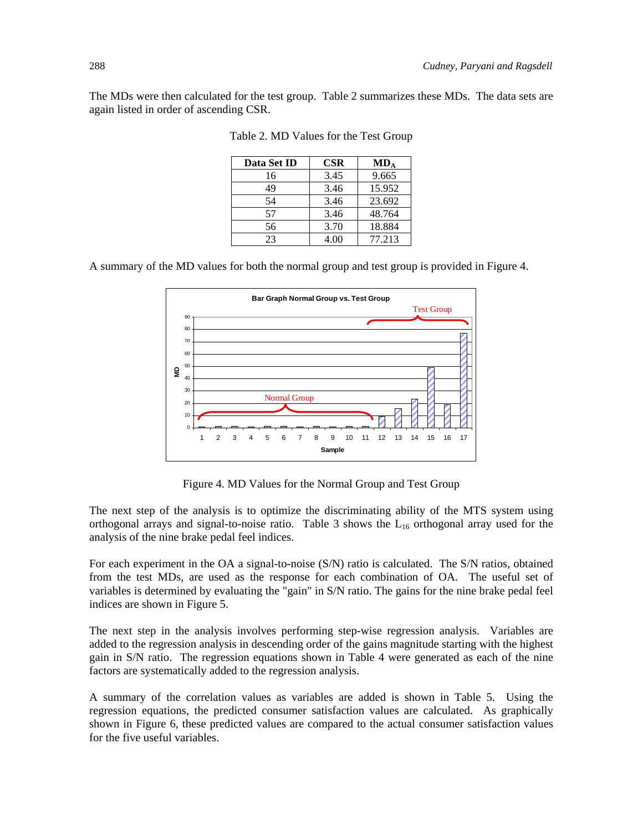The MDs were then calculated for the test group. Table 2 summarizes these MDs. The data sets are again listed in order of ascending CSR.

| Data Set ID | <b>CSR</b> | $MD_A$ |
|-------------|------------|--------|
| 16          | 3.45       | 9.665  |
| 49          | 3.46       | 15.952 |
| 54          | 3.46       | 23.692 |
| 57          | 3.46       | 48.764 |
| 56          | 3.70       | 18.884 |
| 23          | 4.00       | 77.213 |

Table 2. MD Values for the Test Group

A summary of the MD values for both the normal group and test group is provided in Figure 4.



Figure 4. MD Values for the Normal Group and Test Group

The next step of the analysis is to optimize the discriminating ability of the MTS system using orthogonal arrays and signal-to-noise ratio. Table 3 shows the  $L_{16}$  orthogonal array used for the analysis of the nine brake pedal feel indices.

For each experiment in the OA a signal-to-noise (S/N) ratio is calculated. The S/N ratios, obtained from the test MDs, are used as the response for each combination of OA. The useful set of variables is determined by evaluating the "gain" in S/N ratio. The gains for the nine brake pedal feel indices are shown in Figure 5.

The next step in the analysis involves performing step-wise regression analysis. Variables are added to the regression analysis in descending order of the gains magnitude starting with the highest gain in S/N ratio. The regression equations shown in Table 4 were generated as each of the nine factors are systematically added to the regression analysis.

A summary of the correlation values as variables are added is shown in Table 5. Using the regression equations, the predicted consumer satisfaction values are calculated. As graphically shown in Figure 6, these predicted values are compared to the actual consumer satisfaction values for the five useful variables.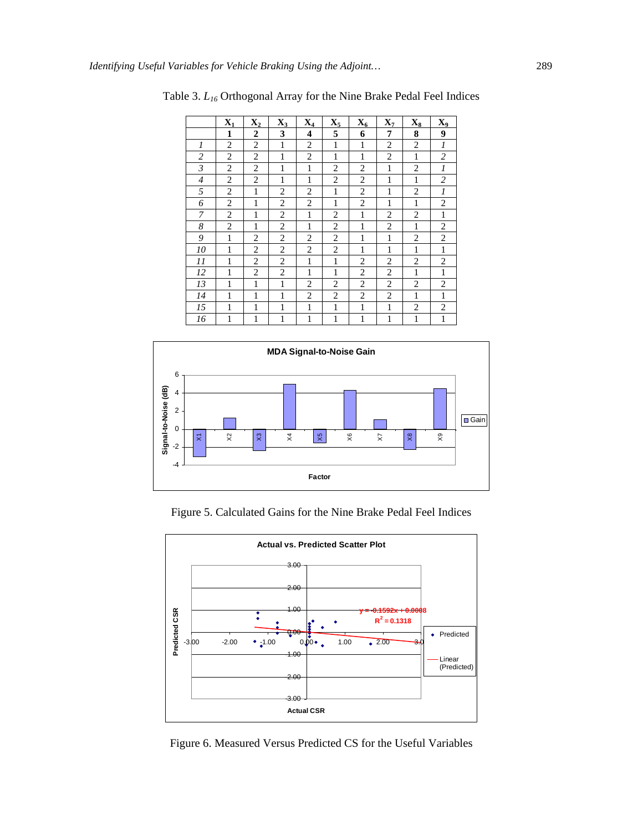|                | $\mathbf{X}_1$ | $\mathbf{X}_2$ | $X_3$          | $\mathbf{X}_4$          | $\mathbf{X}_5$ | $X_6$          | $\mathbf{X}_7$ | $X_8$          | X <sub>9</sub>   |
|----------------|----------------|----------------|----------------|-------------------------|----------------|----------------|----------------|----------------|------------------|
|                | 1              | $\overline{2}$ | 3              | $\overline{\mathbf{4}}$ | 5              | 6              | 7              | 8              | 9                |
| 1              | $\overline{2}$ | $\overline{2}$ | 1              | $\overline{c}$          | $\mathbf{1}$   | 1              | $\overline{2}$ | $\overline{2}$ | $\boldsymbol{l}$ |
| $\overline{2}$ | $\overline{2}$ | $\overline{2}$ | $\mathbf{1}$   | $\overline{2}$          | $\mathbf{1}$   | $\mathbf{1}$   | $\overline{2}$ | $\mathbf{1}$   | $\overline{c}$   |
| 3              | $\overline{c}$ | $\overline{c}$ | $\mathbf{1}$   | $\mathbf{1}$            | $\overline{2}$ | $\overline{2}$ | $\,1$          | $\overline{c}$ | 1                |
| $\overline{4}$ | $\overline{2}$ | 2              | 1              | 1                       | 2              | 2              | 1              | $\mathbf{1}$   | $\overline{c}$   |
| 5              | $\overline{2}$ | $\mathbf{1}$   | 2              | $\overline{c}$          | $\mathbf{1}$   | $\overline{c}$ | 1              | $\overline{2}$ | 1                |
| 6              | $\overline{2}$ | $\mathbf{1}$   | $\overline{2}$ | $\overline{2}$          | $\mathbf{1}$   | $\overline{c}$ | $\mathbf{1}$   | $\mathbf{1}$   | $\overline{2}$   |
| 7              | 2              | 1              | 2              | $\mathbf{1}$            | $\overline{2}$ | 1              | 2              | 2              | $\mathbf{1}$     |
| 8              | $\overline{2}$ | 1              | $\overline{2}$ | $\mathbf{1}$            | $\overline{2}$ | 1              | $\overline{2}$ | $\mathbf{1}$   | $\overline{2}$   |
| 9              | $\mathbf{1}$   | $\overline{2}$ | $\overline{2}$ | $\overline{2}$          | $\overline{2}$ | 1              | $\mathbf{1}$   | $\overline{2}$ | $\overline{2}$   |
| 10             | $\mathbf{1}$   | $\overline{2}$ | $\overline{2}$ | $\overline{2}$          | $\overline{2}$ | 1              | 1              | $\mathbf{1}$   | $\mathbf{1}$     |
| 11             | 1              | $\overline{2}$ | $\overline{2}$ | $\mathbf{1}$            | $\mathbf{1}$   | 2              | $\overline{2}$ | 2              | $\overline{c}$   |
| 12             | $\mathbf{1}$   | $\overline{2}$ | 2              | $\mathbf{1}$            | $\mathbf{1}$   | 2              | $\overline{2}$ | $\mathbf{1}$   | $\mathbf{1}$     |
| 13             | 1              | 1              | 1              | 2                       | 2              | 2              | $\overline{2}$ | 2              | $\overline{c}$   |
| 14             | $\mathbf{1}$   | 1              | 1              | $\overline{2}$          | 2              | 2              | $\overline{2}$ | $\mathbf{1}$   | $\mathbf{1}$     |
| 15             | 1              | 1              | 1              | $\mathbf{1}$            | 1              | 1              | $\mathbf{1}$   | 2              | $\overline{c}$   |
| 16             | 1              | $\mathbf{1}$   | $\mathbf{1}$   | $\mathbf{1}$            | $\mathbf{1}$   | $\mathbf{1}$   | $\mathbf{1}$   | $\,1$          | $\mathbf{1}$     |

Table 3. *L16* Orthogonal Array for the Nine Brake Pedal Feel Indices



Figure 5. Calculated Gains for the Nine Brake Pedal Feel Indices



Figure 6. Measured Versus Predicted CS for the Useful Variables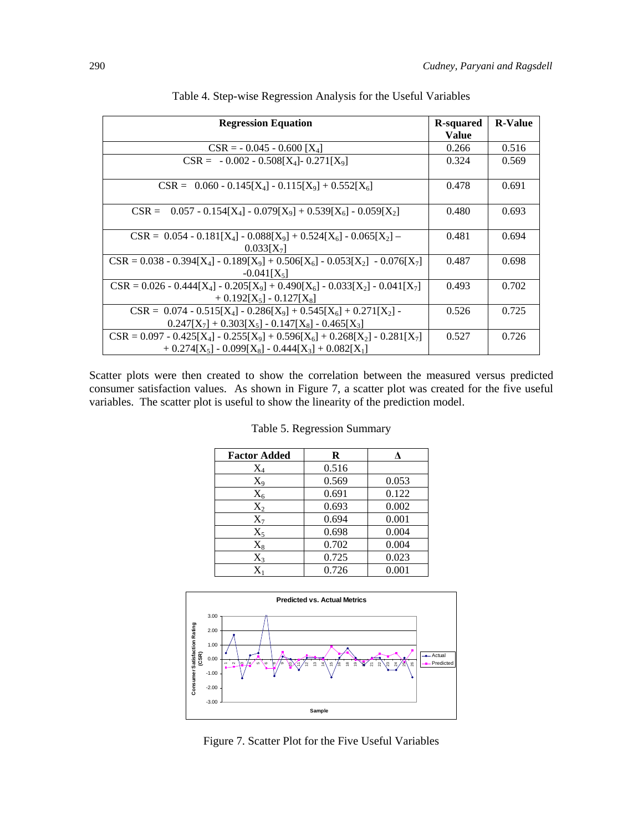| <b>Regression Equation</b>                                                                                                          | R-squared    | <b>R-Value</b> |
|-------------------------------------------------------------------------------------------------------------------------------------|--------------|----------------|
|                                                                                                                                     | <b>Value</b> |                |
| $CSR = -0.045 - 0.600 [X4]$                                                                                                         | 0.266        | 0.516          |
| $CSR = -0.002 - 0.508[X_4] - 0.271[X_9]$                                                                                            | 0.324        | 0.569          |
| $CSR = 0.060 - 0.145[X_4] - 0.115[X_9] + 0.552[X_6]$                                                                                | 0.478        | 0.691          |
| $0.057 - 0.154[X_4] - 0.079[X_9] + 0.539[X_6] - 0.059[X_2]$<br>$CSR =$                                                              | 0.480        | 0.693          |
| $CSR = 0.054 - 0.181[X_4] - 0.088[X_9] + 0.524[X_6] - 0.065[X_2] -$<br>$0.033[X_7]$                                                 | 0.481        | 0.694          |
| $CSR = 0.038 - 0.394[X_4] - 0.189[X_9] + 0.506[X_6] - 0.053[X_2] - 0.076[X_7]$<br>$-0.041[X5]$                                      | 0.487        | 0.698          |
| $CSR = 0.026 - 0.444[X_4] - 0.205[X_9] + 0.490[X_6] - 0.033[X_2] - 0.041[X_7]$<br>$+0.192[X_5] - 0.127[X_8]$                        | 0.493        | 0.702          |
| $CSR = 0.074 - 0.515[X_4] - 0.286[X_9] + 0.545[X_6] + 0.271[X_2]$<br>$0.247[X_7] + 0.303[X_5] - 0.147[X_8] - 0.465[X_3]$            | 0.526        | 0.725          |
| $CSR = 0.097 - 0.425[X_4] - 0.255[X_9] + 0.596[X_6] + 0.268[X_2] - 0.281[X_7]$<br>$+ 0.274[X5] - 0.099[X8] - 0.444[X3] + 0.082[X1]$ | 0.527        | 0.726          |

Table 4. Step-wise Regression Analysis for the Useful Variables

Scatter plots were then created to show the correlation between the measured versus predicted consumer satisfaction values. As shown in Figure 7, a scatter plot was created for the five useful variables. The scatter plot is useful to show the linearity of the prediction model.

| <b>Factor Added</b> | R     |       |
|---------------------|-------|-------|
| $\rm X_4$           | 0.516 |       |
| $X_9$               | 0.569 | 0.053 |
| $\rm X_6$           | 0.691 | 0.122 |
| $\rm X_2$           | 0.693 | 0.002 |
| $X_7$               | 0.694 | 0.001 |
| $X_5$               | 0.698 | 0.004 |
| $X_8$               | 0.702 | 0.004 |
| $X_3$               | 0.725 | 0.023 |
| $\rm X_1$           | 0.726 | 0.001 |

|  | Table 5. Regression Summary |  |
|--|-----------------------------|--|
|--|-----------------------------|--|



Figure 7. Scatter Plot for the Five Useful Variables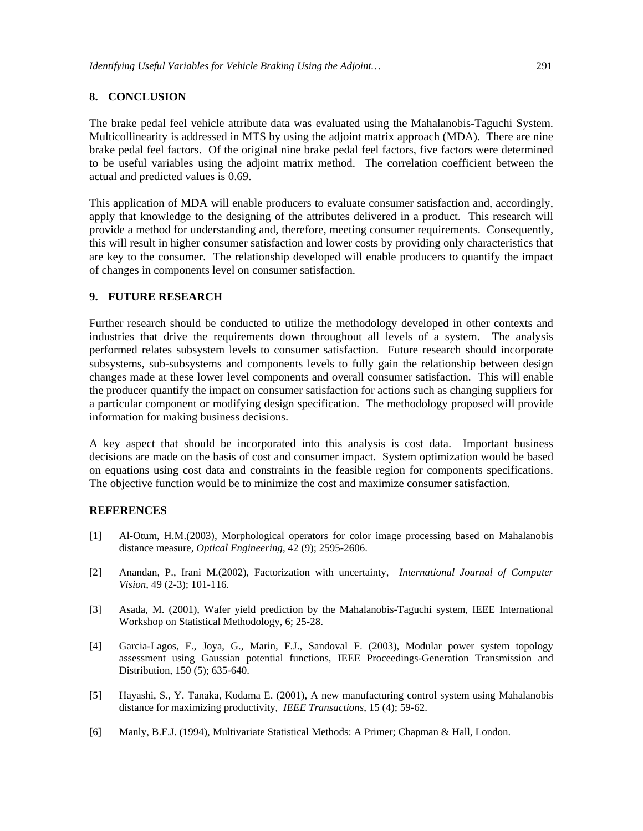# **8. CONCLUSION**

The brake pedal feel vehicle attribute data was evaluated using the Mahalanobis-Taguchi System. Multicollinearity is addressed in MTS by using the adjoint matrix approach (MDA). There are nine brake pedal feel factors. Of the original nine brake pedal feel factors, five factors were determined to be useful variables using the adjoint matrix method. The correlation coefficient between the actual and predicted values is 0.69.

This application of MDA will enable producers to evaluate consumer satisfaction and, accordingly, apply that knowledge to the designing of the attributes delivered in a product. This research will provide a method for understanding and, therefore, meeting consumer requirements. Consequently, this will result in higher consumer satisfaction and lower costs by providing only characteristics that are key to the consumer. The relationship developed will enable producers to quantify the impact of changes in components level on consumer satisfaction.

#### **9. FUTURE RESEARCH**

Further research should be conducted to utilize the methodology developed in other contexts and industries that drive the requirements down throughout all levels of a system. The analysis performed relates subsystem levels to consumer satisfaction. Future research should incorporate subsystems, sub-subsystems and components levels to fully gain the relationship between design changes made at these lower level components and overall consumer satisfaction. This will enable the producer quantify the impact on consumer satisfaction for actions such as changing suppliers for a particular component or modifying design specification. The methodology proposed will provide information for making business decisions.

A key aspect that should be incorporated into this analysis is cost data. Important business decisions are made on the basis of cost and consumer impact. System optimization would be based on equations using cost data and constraints in the feasible region for components specifications. The objective function would be to minimize the cost and maximize consumer satisfaction.

#### **REFERENCES**

- [1] Al-Otum, H.M.(2003), Morphological operators for color image processing based on Mahalanobis distance measure, *Optical Engineering*, 42 (9); 2595-2606.
- [2] Anandan, P., Irani M.(2002), Factorization with uncertainty, *International Journal of Computer Vision*, 49 (2-3); 101-116.
- [3] Asada, M. (2001), Wafer yield prediction by the Mahalanobis-Taguchi system, IEEE International Workshop on Statistical Methodology, 6; 25-28.
- [4] Garcia-Lagos, F., Joya, G., Marin, F.J., Sandoval F. (2003), Modular power system topology assessment using Gaussian potential functions, IEEE Proceedings-Generation Transmission and Distribution, 150 (5); 635-640.
- [5] Hayashi, S., Y. Tanaka, Kodama E. (2001), A new manufacturing control system using Mahalanobis distance for maximizing productivity, *IEEE Transactions*, 15 (4); 59-62.
- [6] Manly, B.F.J. (1994), Multivariate Statistical Methods: A Primer; Chapman & Hall, London.